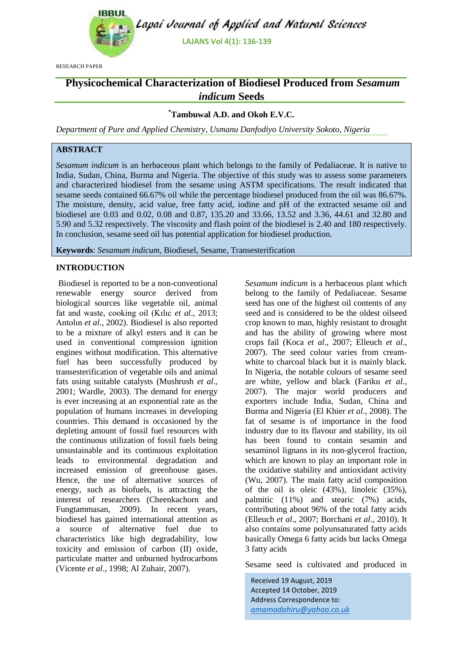

RESEARCH PAPER

# **Physicochemical Characterization of Biodiesel Produced from** *Sesamum indicum* **Seeds**

## **\*Tambuwal A.D. and Okoh E.V.C.**

*Department of Pure and Applied Chemistry, Usmanu Danfodiyo University Sokoto, Nigeria*

## **ABSTRACT**

*Sesamum indicum* is an herbaceous plant which belongs to the family of Pedaliaceae. It is native to India, Sudan, China, Burma and Nigeria. The objective of this study was to assess some parameters and characterized biodiesel from the sesame using ASTM specifications. The result indicated that sesame seeds contained 66.67% oil while the percentage biodiesel produced from the oil was 86.67%. The moisture, density, acid value, free fatty acid, iodine and pH of the extracted sesame oil and biodiesel are 0.03 and 0.02, 0.08 and 0.87, 135.20 and 33.66, 13.52 and 3.36, 44.61 and 32.80 and 5.90 and 5.32 respectively. The viscosity and flash point of the biodiesel is 2.40 and 180 respectively. In conclusion, sesame seed oil has potential application for biodiesel production.

**Keywords**: *Sesamum indicum*, Biodiesel, Sesame, Transesterification

#### **INTRODUCTION**

Biodiesel is reported to be a non-conventional renewable energy source derived from biological sources like vegetable oil, animal fat and waste, cooking oil (Kılıc *et al*., 2013; Antolın *et al*., 2002). Biodiesel is also reported to be a mixture of alkyl esters and it can be used in conventional compression ignition engines without modification. This alternative fuel has been successfully produced by transesterification of vegetable oils and animal fats using suitable catalysts (Mushrush *et al*., 2001; Wardle, 2003). The demand for energy is ever increasing at an exponential rate as the population of humans increases in developing countries. This demand is occasioned by the depleting amount of fossil fuel resources with the continuous utilization of fossil fuels being unsustainable and its continuous exploitation leads to environmental degradation and increased emission of greenhouse gases. Hence, the use of alternative sources of energy, such as biofuels, is attracting the interest of researchers (Cheenkachorn and Fungtammasan, 2009). In recent years, biodiesel has gained international attention as a source of alternative fuel due to characteristics like high degradability, low toxicity and emission of carbon (II) oxide, particulate matter and unburned hydrocarbons (Vicente *et al*., 1998; Al Zuhair, 2007).

*Sesamum indicum* is a herbaceous plant which belong to the family of Pedaliaceae. Sesame seed has one of the highest oil contents of any seed and is considered to be the oldest oilseed crop known to man, highly resistant to drought and has the ability of growing where most crops fail (Koca *et al*., 2007; Elleuch *et al*., 2007). The seed colour varies from creamwhite to charcoal black but it is mainly black. In Nigeria, the notable colours of sesame seed are white, yellow and black (Fariku *et al*., 2007). The major world producers and exporters include India, Sudan, China and Burma and Nigeria (El Khier *et al*., 2008). The fat of sesame is of importance in the food industry due to its flavour and stability, its oil has been found to contain sesamin and sesaminol lignans in its non-glycerol fraction, which are known to play an important role in the oxidative stability and antioxidant activity (Wu, 2007). The main fatty acid composition of the oil is oleic (43%), linoleic (35%), palmitic (11%) and stearic (7%) acids, contributing about 96% of the total fatty acids (Elleuch *et al*., 2007; Borchani *et al*., 2010). It also contains some polyunsaturated fatty acids basically Omega 6 fatty acids but lacks Omega 3 fatty acids

Sesame seed is cultivated and produced in

Received 19 August, 2019 Accepted 14 October, 2019 Address Correspondence to: *amamadahiru@yahoo.co.uk*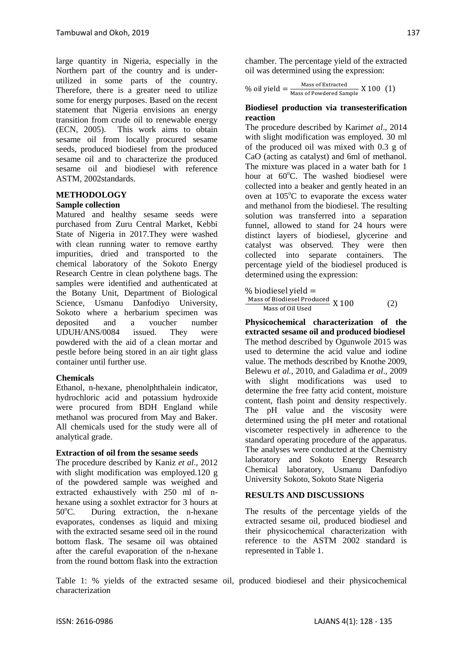large quantity in Nigeria, especially in the Northern part of the country and is underutilized in some parts of the country. Therefore, there is a greater need to utilize some for energy purposes. Based on the recent statement that Nigeria envisions an energy transition from crude oil to renewable energy (ECN, 2005). This work aims to obtain sesame oil from locally procured sesame seeds, produced biodiesel from the produced sesame oil and to characterize the produced sesame oil and biodiesel with reference ASTM, 2002standards.

# **METHODOLOGY**

## **Sample collection**

Matured and healthy sesame seeds were purchased from Zuru Central Market, Kebbi State of Nigeria in 2017.They were washed with clean running water to remove earthy impurities, dried and transported to the chemical laboratory of the Sokoto Energy Research Centre in clean polythene bags. The samples were identified and authenticated at the Botany Unit, Department of Biological Science, Usmanu Danfodiyo University, Sokoto where a herbarium specimen was deposited and a voucher number UDUH/ANS/0084 issued. They were powdered with the aid of a clean mortar and pestle before being stored in an air tight glass container until further use.

## **Chemicals**

Ethanol, n-hexane, phenolphthalein indicator, hydrochloric acid and potassium hydroxide were procured from BDH England while methanol was procured from May and Baker. All chemicals used for the study were all of analytical grade.

#### **Extraction of oil from the sesame seeds**

The procedure described by Kaniz *et al*., 2012 with slight modification was employed.120 g of the powdered sample was weighed and extracted exhaustively with 250 ml of nhexane using a soxhlet extractor for 3 hours at  $50^{\circ}$ C. During extraction, the n-hexane evaporates, condenses as liquid and mixing with the extracted sesame seed oil in the round bottom flask. The sesame oil was obtained after the careful evaporation of the n-hexane from the round bottom flask into the extraction

chamber. The percentage yield of the extracted oil was determined using the expression:

% oil yield  $=$   $\frac{\text{mass of extracted}}{\text{Mass of Powdered Sample}}$  X 100 (1) Mass of Extracted

#### **Biodiesel production via transesterification reaction**

The procedure described by Karim*et al*., 2014 with slight modification was employed. 30 ml of the produced oil was mixed with 0.3 g of CaO (acting as catalyst) and 6ml of methanol. The mixture was placed in a water bath for 1 hour at  $60^{\circ}$ C. The washed biodiesel were collected into a beaker and gently heated in an oven at  $105^{\circ}$ C to evaporate the excess water and methanol from the biodiesel. The resulting solution was transferred into a separation funnel, allowed to stand for 24 hours were distinct layers of biodiesel, glycerine and catalyst was observed. They were then collected into separate containers. The percentage yield of the biodiesel produced is determined using the expression:

$$
\frac{\% \text{ biological yield}}{\text{Mass of Biological Produced}} \times 100
$$
\n
$$
\frac{\text{Mass of Biological Produced}}{\text{Mass of Oil Used}} \times 100
$$
 (2)

**Physicochemical characterization of the extracted sesame oil and produced biodiesel**  The method described by Ogunwole 2015 was used to determine the acid value and iodine value. The methods described by Knothe 2009, Belewu *et al.,* 2010, and Galadima *et al*., 2009 with slight modifications was used to determine the free fatty acid content, moisture content, flash point and density respectively. The pH value and the viscosity were determined using the pH meter and rotational viscometer respectively in adherence to the standard operating procedure of the apparatus. The analyses were conducted at the Chemistry laboratory and Sokoto Energy Research Chemical laboratory, Usmanu Danfodiyo University Sokoto, Sokoto State Nigeria

## **RESULTS AND DISCUSSIONS**

The results of the percentage yields of the extracted sesame oil, produced biodiesel and their physicochemical characterization with reference to the ASTM 2002 standard is represented in Table 1.

Table 1: % yields of the extracted sesame oil, produced biodiesel and their physicochemical characterization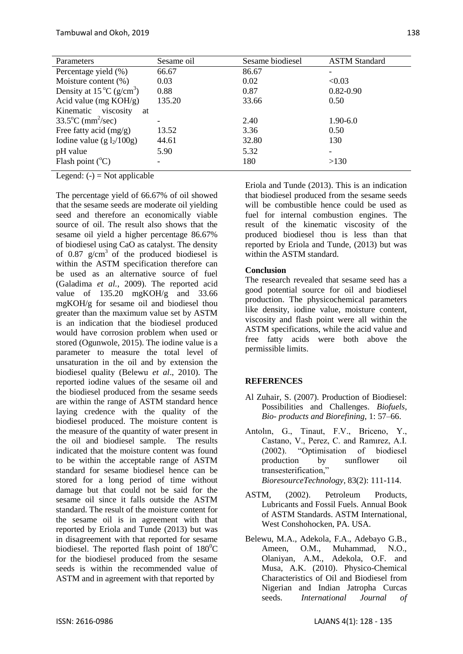| Parameters                                     | Sesame oil | Sesame biodiesel | <b>ASTM Standard</b> |
|------------------------------------------------|------------|------------------|----------------------|
| Percentage yield (%)                           | 66.67      | 86.67            |                      |
| Moisture content (%)                           | 0.03       | 0.02             | < 0.03               |
| Density at $15^{\circ}$ C (g/cm <sup>3</sup> ) | 0.88       | 0.87             | $0.82 - 0.90$        |
| Acid value (mg $KOH/g$ )                       | 135.20     | 33.66            | 0.50                 |
| Kinematic viscosity<br>at                      |            |                  |                      |
| $33.5^{\circ}$ C (mm <sup>2</sup> /sec)        |            | 2.40             | $1.90 - 6.0$         |
| Free fatty acid $(mg/g)$                       | 13.52      | 3.36             | 0.50                 |
| Iodine value (g $l_2/100g$ )                   | 44.61      | 32.80            | 130                  |
| pH value                                       | 5.90       | 5.32             |                      |
| Flash point $(^{\circ}C)$                      |            | 180              | >130                 |

Legend:  $(-)$  = Not applicable

The percentage yield of 66.67% of oil showed that the sesame seeds are moderate oil yielding seed and therefore an economically viable source of oil. The result also shows that the sesame oil yield a higher percentage 86.67% of biodiesel using CaO as catalyst. The density of 0.87  $g/cm<sup>3</sup>$  of the produced biodiesel is within the ASTM specification therefore can be used as an alternative source of fuel (Galadima *et al.*, 2009). The reported acid value of 135.20 mgKOH/g and 33.66 mgKOH/g for sesame oil and biodiesel thou greater than the maximum value set by ASTM is an indication that the biodiesel produced would have corrosion problem when used or stored (Ogunwole, 2015). The iodine value is a parameter to measure the total level of unsaturation in the oil and by extension the biodiesel quality (Belewu *et al*., 2010). The reported iodine values of the sesame oil and the biodiesel produced from the sesame seeds are within the range of ASTM standard hence laying credence with the quality of the biodiesel produced. The moisture content is the measure of the quantity of water present in the oil and biodiesel sample. The results indicated that the moisture content was found to be within the acceptable range of ASTM standard for sesame biodiesel hence can be stored for a long period of time without damage but that could not be said for the sesame oil since it falls outside the ASTM standard. The result of the moisture content for the sesame oil is in agreement with that reported by Eriola and Tunde (2013) but was in disagreement with that reported for sesame biodiesel. The reported flash point of  $180^{\circ}$ C for the biodiesel produced from the sesame seeds is within the recommended value of ASTM and in agreement with that reported by

Eriola and Tunde (2013). This is an indication that biodiesel produced from the sesame seeds will be combustible hence could be used as fuel for internal combustion engines. The result of the kinematic viscosity of the produced biodiesel thou is less than that reported by Eriola and Tunde, (2013) but was within the ASTM standard.

#### **Conclusion**

The research revealed that sesame seed has a good potential source for oil and biodiesel production. The physicochemical parameters like density, iodine value, moisture content, viscosity and flash point were all within the ASTM specifications, while the acid value and free fatty acids were both above the permissible limits.

## **REFERENCES**

- Al Zuhair, S. (2007). Production of Biodiesel: Possibilities and Challenges. *Biofuels, Bio- products and Biorefining*, 1: 57–66.
- Antolın, G., Tinaut, F.V., Briceno, Y., Castano, V., Perez, C. and Ramırez, A.I. (2002). "Optimisation of biodiesel production by sunflower oil transesterification," *BioresourceTechnology*, 83(2): 111-114.
- ASTM, (2002). Petroleum Products, Lubricants and Fossil Fuels. Annual Book of ASTM Standards. ASTM International, West Conshohocken, PA. USA.
- Belewu, M.A., Adekola, F.A., Adebayo G.B., Ameen, O.M., Muhammad, N.O., Olaniyan, A.M., Adekola, O.F. and Musa, A.K. (2010). Physico-Chemical Characteristics of Oil and Biodiesel from Nigerian and Indian Jatropha Curcas seeds. *International Journal of*